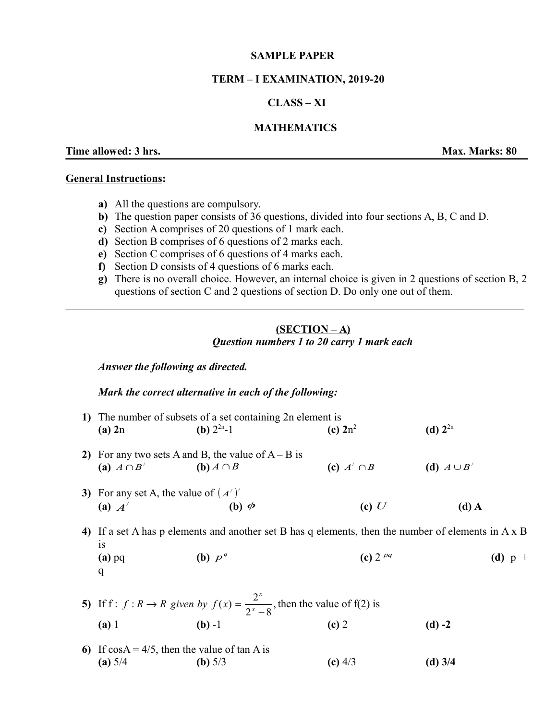#### **SAMPLE PAPER**

### **TERM – I EXAMINATION, 2019-20**

# **CLASS – XI**

### **MATHEMATICS**

## **Time allowed: 3 hrs.** Max. Marks: 80

#### **General Instructions:**

- **a)** All the questions are compulsory.
- **b)** The question paper consists of 36 questions, divided into four sections A, B, C and D.

 $\mathcal{L}_\mathcal{L} = \{ \mathcal{L}_\mathcal{L} = \{ \mathcal{L}_\mathcal{L} = \{ \mathcal{L}_\mathcal{L} = \{ \mathcal{L}_\mathcal{L} = \{ \mathcal{L}_\mathcal{L} = \{ \mathcal{L}_\mathcal{L} = \{ \mathcal{L}_\mathcal{L} = \{ \mathcal{L}_\mathcal{L} = \{ \mathcal{L}_\mathcal{L} = \{ \mathcal{L}_\mathcal{L} = \{ \mathcal{L}_\mathcal{L} = \{ \mathcal{L}_\mathcal{L} = \{ \mathcal{L}_\mathcal{L} = \{ \mathcal{L}_\mathcal{$ 

- **c)** Section A comprises of 20 questions of 1 mark each.
- **d)** Section B comprises of 6 questions of 2 marks each.
- **e)** Section C comprises of 6 questions of 4 marks each.
- **f)** Section D consists of 4 questions of 6 marks each.
- **g)** There is no overall choice. However, an internal choice is given in 2 questions of section B, 2 questions of section C and 2 questions of section D. Do only one out of them.

# **(SECTION – A)** *Question numbers 1 to 20 carry 1 mark each*

# *Answer the following as directed.*

### *Mark the correct alternative in each of the following:*

| 1) The number of subsets of a set containing 2n element is<br>(d) $2^{2n}$<br>( <b>b</b> ) $2^{2n}$ -1<br>(c) $2n^2$<br>$(a)$ 2n |                                |                 |                 |           |  |
|----------------------------------------------------------------------------------------------------------------------------------|--------------------------------|-----------------|-----------------|-----------|--|
|                                                                                                                                  |                                |                 |                 |           |  |
| 2) For any two sets A and B, the value of $A - B$ is                                                                             |                                |                 |                 |           |  |
|                                                                                                                                  | (a) $A \cap B'$ (b) $A \cap B$ | (c) $A' \cap B$ | (d) $A \cup B'$ |           |  |
| 3) For any set A, the value of $(A')'$                                                                                           |                                |                 |                 |           |  |
| (a) $A'$                                                                                                                         | (b) $\phi$                     | (c) $U$         | $(d)$ A         |           |  |
| 4) If a set A has p elements and another set B has q elements, then the number of elements in A x B                              |                                |                 |                 |           |  |
| 1S                                                                                                                               |                                |                 |                 |           |  |
| $(a)$ pq                                                                                                                         | (b) $p^q$                      | (c) $2^{pq}$    |                 | (d) $p +$ |  |
| q                                                                                                                                |                                |                 |                 |           |  |
| 5) If f: $f: R \to R$ given by $f(x) = \frac{2^x}{2^x - 8}$ , then the value of f(2) is                                          |                                |                 |                 |           |  |
| (a) 1                                                                                                                            | $(b) -1$                       | $(c)$ 2         | $(d) -2$        |           |  |
| 6) If $\cos A = 4/5$ , then the value of $\tan A$ is                                                                             |                                |                 |                 |           |  |
| (a) $5/4$ (b) $5/3$                                                                                                              |                                | (c) $4/3$       | $(d)$ 3/4       |           |  |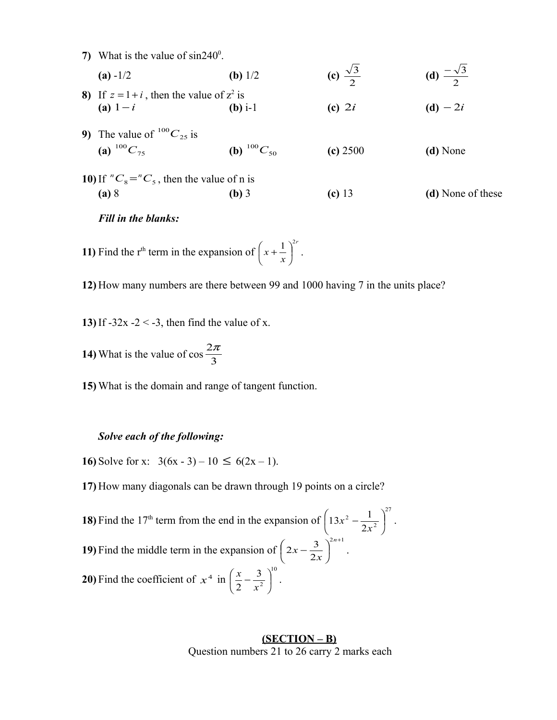| 10) If ${}^nC_8 = {}^nC_5$ , then the value of n is<br>(a) 8 | $(b)$ 3                       | $(c)$ 13                 | (d) None of these         |  |  |  |
|--------------------------------------------------------------|-------------------------------|--------------------------|---------------------------|--|--|--|
| 9) The value of ${}^{100}C_{25}$ is<br>(a) $^{100}C_{75}$    | ( <b>b</b> ) ${}^{100}C_{50}$ | (c) 2500                 | (d) None                  |  |  |  |
| 8) If $z = 1 + i$ , then the value of $z^2$ is<br>(a) $1-i$  | ( <b>b</b> ) i-1              | (c) $2i$                 | $(d) - 2i$                |  |  |  |
| $(a) -1/2$                                                   | ( <b>b</b> ) $1/2$            | (c) $\frac{\sqrt{3}}{2}$ | (d) $\frac{-\sqrt{3}}{2}$ |  |  |  |
| 7) What is the value of $sin240^\circ$ .                     |                               |                          |                           |  |  |  |

*Fill in the blanks:*

11) Find the  $r<sup>th</sup>$  term in the expansion of *r x x*  $1^2$  $\overline{a}$  $\tilde{a}$  $\overline{\phantom{a}}$ l  $\left(x+\frac{1}{x}\right)^{2r}$ .

**12)** How many numbers are there between 99 and 1000 having 7 in the units place?

**13)** If  $-32x - 2 < -3$ , then find the value of x.

**14)** What is the value of  $\cos \frac{2\pi}{3}$  $2\pi$ 

**15)** What is the domain and range of tangent function.

# *Solve each of the following:*

**16)** Solve for x:  $3(6x - 3) - 10 \le 6(2x - 1)$ .

**17)** How many diagonals can be drawn through 19 points on a circle?

**18)** Find the  $17<sup>th</sup>$  term from the end in the expansion of 27 2 2 2  $13x^2 - \frac{1}{2}$  $\overline{1}$  $\overline{\phantom{a}}$  $\overline{\phantom{a}}$ l  $\int 13x^2$  – *x*  $x^2 - \frac{1}{2}$ . **19)** Find the middle term in the expansion of  $2n+1$ 2  $2x - \frac{3}{2}$ <sup>2n+</sup>  $\overline{ }$  $\overline{a}$  $\overline{\phantom{a}}$ l  $\int 2x$ *n*  $x-\frac{3}{2x}$  . **20**) Find the coefficient of  $x^4$  in  $\left(\frac{x}{2} - \frac{3}{x^2}\right)^{10}$ 2 3 2  $x^2$  $\overline{\phantom{a}}$  $\overline{\phantom{a}}$ l  $\left(\frac{x}{2}\right)$ *x*  $\left(\frac{x}{2}-\frac{3}{2}\right)^{10}$ .

> **(SECTION – B)** Question numbers 21 to 26 carry 2 marks each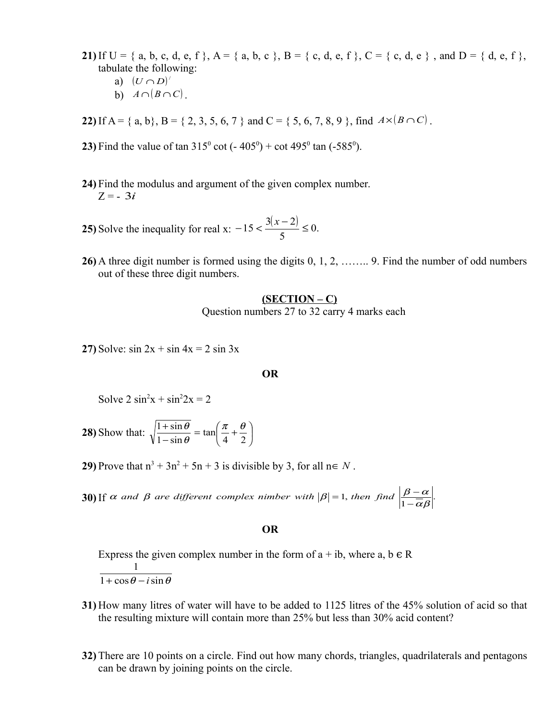**21)** If  $U = \{a, b, c, d, e, f\}, A = \{a, b, c\}, B = \{c, d, e, f\}, C = \{c, d, e\}, and D = \{d, e, f\},\$ tabulate the following:

- a)  $(U \cap D)^{7}$
- b)  $A \cap (B \cap C)$ .

**22)** If A = { a, b}, B = { 2, 3, 5, 6, 7 } and C = { 5, 6, 7, 8, 9 }, find  $A \times (B \cap C)$ .

**23)** Find the value of tan  $315^{\circ}$  cot ( $-405^{\circ}$ ) + cot  $495^{\circ}$  tan ( $-585^{\circ}$ ).

**24)** Find the modulus and argument of the given complex number.  $Z = -3i$ 

**25)** Solve the inequality for real x:  $-15 < \frac{3(x-2)}{5} \le 0$ . 5  $-15 < \frac{3(x-2)}{5} \le$ 

**26)** A three digit number is formed using the digits 0, 1, 2, …….. 9. Find the number of odd numbers out of these three digit numbers.

### **(SECTION – C)**

Question numbers 27 to 32 carry 4 marks each

**27)** Solve:  $\sin 2x + \sin 4x = 2 \sin 3x$ 

### **OR**

Solve  $2 \sin^2 x + \sin^2 2x = 2$ 

- **28)** Show that:  $\sqrt{\frac{1+ \sin \theta}{1- \sin \theta}} = \tan \left| \frac{\pi}{4} + \frac{\theta}{2} \right|$  $\overline{1}$  $\lambda$  $\overline{\phantom{a}}$ l  $=$  tan $\left(\frac{\pi}{4}+\right)$ - $\ddot{}$ 4 2 tan  $1 - \sin$  $1 + \sin \theta \qquad \pi \theta$  $\theta$  $\theta$
- **29**) Prove that  $n^3 + 3n^2 + 5n + 3$  is divisible by 3, for all  $n \in N$ .

**30)** If  $\alpha$  and  $\beta$  are different complex nimber with  $|\beta| = 1$ , then find  $\left|\frac{\beta - \alpha}{1 - \overline{\alpha}\beta}\right|$ .  $\alpha$  and  $\beta$  are different complex nimber with  $|\beta|=1$ , then find  $\frac{\beta-\alpha}{1-\overline{\alpha}\beta}$ *and*  $\beta$  are different complex nimber with  $|\beta| = 1$ , then find  $\left| \frac{\beta - 1}{\beta - 1} \right|$ 

### **OR**

Express the given complex number in the form of  $a + ib$ , where a, b  $\in R$  $1 + \cos \theta - i \sin \theta$ 1

- **31)** How many litres of water will have to be added to 1125 litres of the 45% solution of acid so that the resulting mixture will contain more than 25% but less than 30% acid content?
- **32)** There are 10 points on a circle. Find out how many chords, triangles, quadrilaterals and pentagons can be drawn by joining points on the circle.